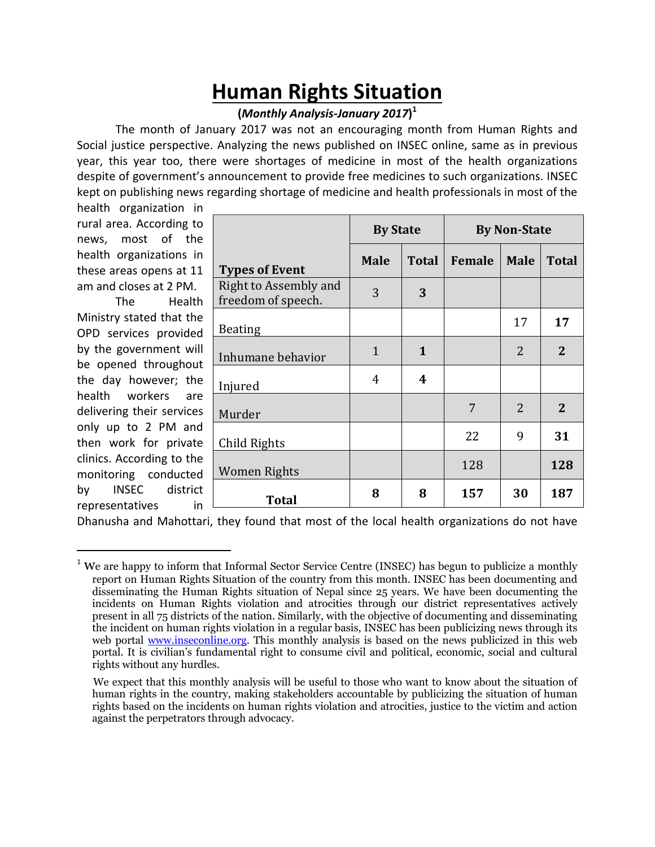## **Human Rights Situation**

## **(***Monthly Analysis-January 2017***) 1**

The month of January 2017 was not an encouraging month from Human Rights and Social justice perspective. Analyzing the news published on INSEC online, same as in previous year, this year too, there were shortages of medicine in most of the health organizations despite of government's announcement to provide free medicines to such organizations. INSEC kept on publishing news regarding shortage of medicine and health professionals in most of the

health organization in rural area. According to news, most of the health organizations in these areas opens at 11 am and closes at 2 PM.

The Health Ministry stated that the OPD services provided by the government will be opened throughout the day however; the health workers are delivering their services only up to 2 PM and then work for private clinics. According to the monitoring conducted by INSEC district representatives in

 $\overline{\phantom{a}}$ 

|                                             | <b>By State</b> |              | <b>By Non-State</b> |                |              |
|---------------------------------------------|-----------------|--------------|---------------------|----------------|--------------|
| <b>Types of Event</b>                       | <b>Male</b>     | <b>Total</b> | Female              | <b>Male</b>    | <b>Total</b> |
| Right to Assembly and<br>freedom of speech. | 3               | 3            |                     |                |              |
| <b>Beating</b>                              |                 |              |                     | 17             | 17           |
| Inhumane behavior                           | $\mathbf{1}$    | 1            |                     | $\overline{2}$ | 2            |
| Injured                                     | 4               | 4            |                     |                |              |
| Murder                                      |                 |              | 7                   | 2              | $\mathbf{2}$ |
| Child Rights                                |                 |              | 22                  | 9              | 31           |
| Women Rights                                |                 |              | 128                 |                | 128          |
| <b>Total</b>                                | 8               | 8            | 157                 | 30             | 187          |

Dhanusha and Mahottari, they found that most of the local health organizations do not have

<sup>&</sup>lt;sup>1</sup> We are happy to inform that Informal Sector Service Centre (INSEC) has begun to publicize a monthly report on Human Rights Situation of the country from this month. INSEC has been documenting and disseminating the Human Rights situation of Nepal since 25 years. We have been documenting the incidents on Human Rights violation and atrocities through our district representatives actively present in all 75 districts of the nation. Similarly, with the objective of documenting and disseminating the incident on human rights violation in a regular basis, INSEC has been publicizing news through its web portal [www.inseconline.org.](http://www.inseconline.org/) This monthly analysis is based on the news publicized in this web portal. It is civilian's fundamental right to consume civil and political, economic, social and cultural rights without any hurdles.

We expect that this monthly analysis will be useful to those who want to know about the situation of human rights in the country, making stakeholders accountable by publicizing the situation of human rights based on the incidents on human rights violation and atrocities, justice to the victim and action against the perpetrators through advocacy.